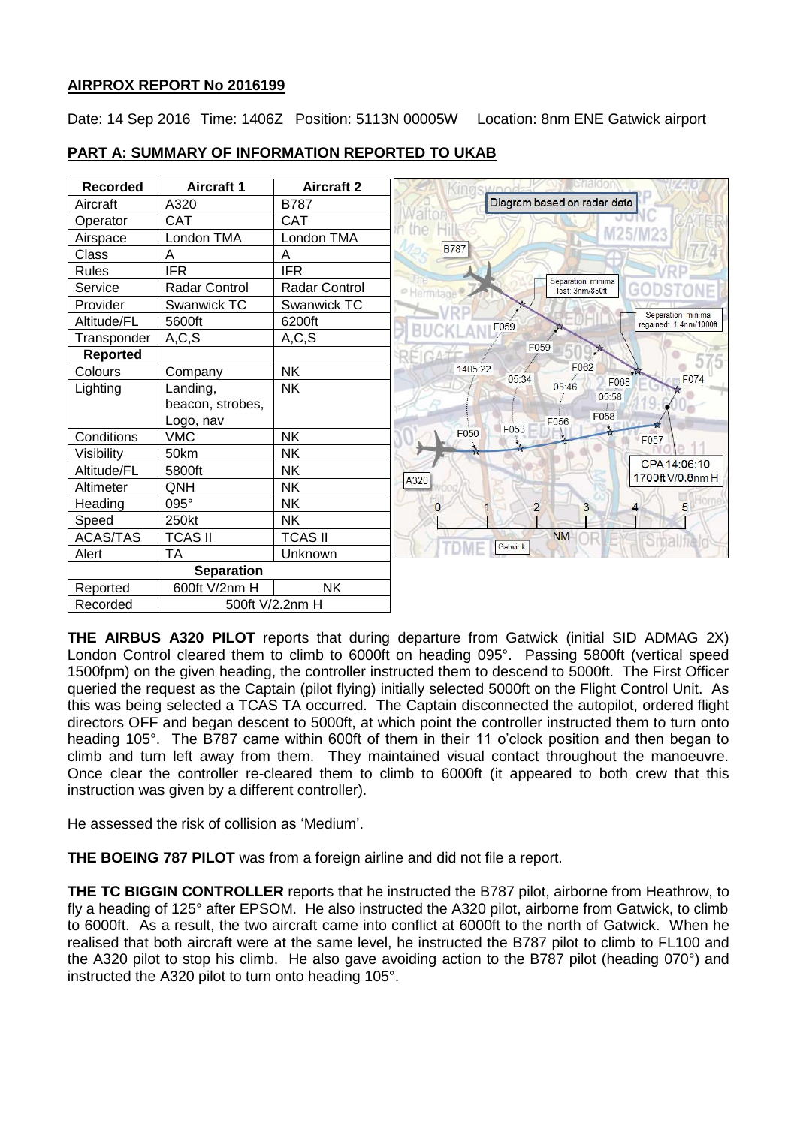#### **AIRPROX REPORT No 2016199**

Date: 14 Sep 2016 Time: 1406Z Position: 5113N 00005W Location: 8nm ENE Gatwick airport



### **PART A: SUMMARY OF INFORMATION REPORTED TO UKAB**

**THE AIRBUS A320 PILOT** reports that during departure from Gatwick (initial SID ADMAG 2X) London Control cleared them to climb to 6000ft on heading 095°. Passing 5800ft (vertical speed 1500fpm) on the given heading, the controller instructed them to descend to 5000ft. The First Officer queried the request as the Captain (pilot flying) initially selected 5000ft on the Flight Control Unit. As this was being selected a TCAS TA occurred. The Captain disconnected the autopilot, ordered flight directors OFF and began descent to 5000ft, at which point the controller instructed them to turn onto heading 105°. The B787 came within 600ft of them in their 11 o'clock position and then began to climb and turn left away from them. They maintained visual contact throughout the manoeuvre. Once clear the controller re-cleared them to climb to 6000ft (it appeared to both crew that this instruction was given by a different controller).

He assessed the risk of collision as 'Medium'.

**THE BOEING 787 PILOT** was from a foreign airline and did not file a report.

**THE TC BIGGIN CONTROLLER** reports that he instructed the B787 pilot, airborne from Heathrow, to fly a heading of 125° after EPSOM. He also instructed the A320 pilot, airborne from Gatwick, to climb to 6000ft. As a result, the two aircraft came into conflict at 6000ft to the north of Gatwick. When he realised that both aircraft were at the same level, he instructed the B787 pilot to climb to FL100 and the A320 pilot to stop his climb. He also gave avoiding action to the B787 pilot (heading 070°) and instructed the A320 pilot to turn onto heading 105°.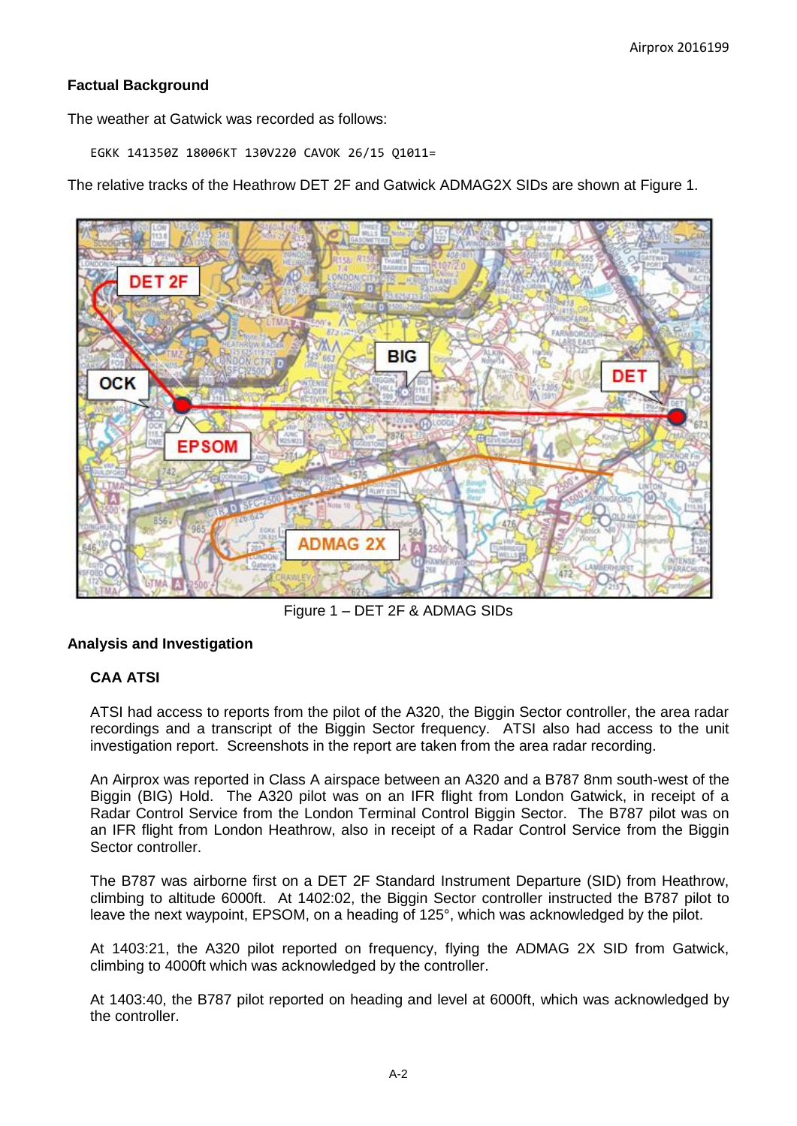# **Factual Background**

The weather at Gatwick was recorded as follows:

EGKK 141350Z 18006KT 130V220 CAVOK 26/15 Q1011=

The relative tracks of the Heathrow DET 2F and Gatwick ADMAG2X SIDs are shown at Figure 1.



Figure 1 – DET 2F & ADMAG SIDs

# **Analysis and Investigation**

# **CAA ATSI**

ATSI had access to reports from the pilot of the A320, the Biggin Sector controller, the area radar recordings and a transcript of the Biggin Sector frequency. ATSI also had access to the unit investigation report. Screenshots in the report are taken from the area radar recording.

An Airprox was reported in Class A airspace between an A320 and a B787 8nm south-west of the Biggin (BIG) Hold. The A320 pilot was on an IFR flight from London Gatwick, in receipt of a Radar Control Service from the London Terminal Control Biggin Sector. The B787 pilot was on an IFR flight from London Heathrow, also in receipt of a Radar Control Service from the Biggin Sector controller.

The B787 was airborne first on a DET 2F Standard Instrument Departure (SID) from Heathrow, climbing to altitude 6000ft. At 1402:02, the Biggin Sector controller instructed the B787 pilot to leave the next waypoint, EPSOM, on a heading of 125°, which was acknowledged by the pilot.

At 1403:21, the A320 pilot reported on frequency, flying the ADMAG 2X SID from Gatwick, climbing to 4000ft which was acknowledged by the controller.

At 1403:40, the B787 pilot reported on heading and level at 6000ft, which was acknowledged by the controller.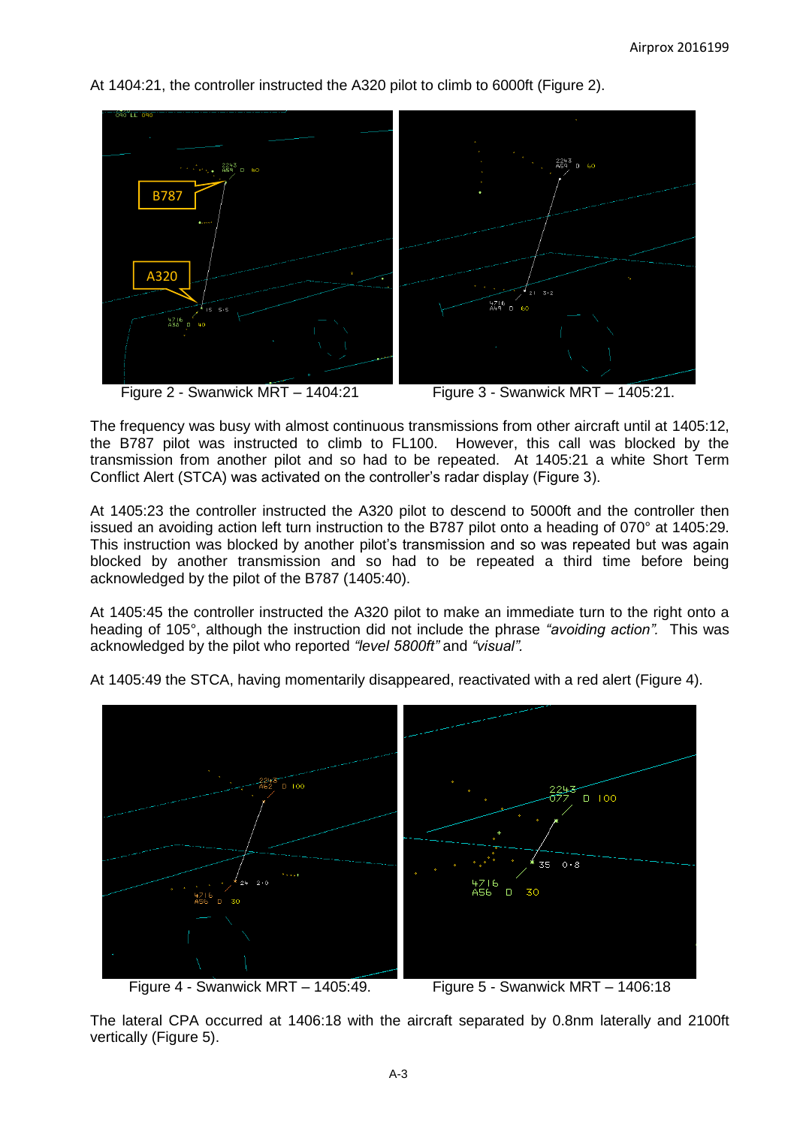At 1404:21, the controller instructed the A320 pilot to climb to 6000ft (Figure 2).



Figure 2 - Swanwick MRT – 1404:21 Figure 3 - Swanwick MRT – 1405:21.



The frequency was busy with almost continuous transmissions from other aircraft until at 1405:12, the B787 pilot was instructed to climb to FL100. However, this call was blocked by the transmission from another pilot and so had to be repeated. At 1405:21 a white Short Term Conflict Alert (STCA) was activated on the controller's radar display (Figure 3).

At 1405:23 the controller instructed the A320 pilot to descend to 5000ft and the controller then issued an avoiding action left turn instruction to the B787 pilot onto a heading of 070° at 1405:29. This instruction was blocked by another pilot's transmission and so was repeated but was again blocked by another transmission and so had to be repeated a third time before being acknowledged by the pilot of the B787 (1405:40).

At 1405:45 the controller instructed the A320 pilot to make an immediate turn to the right onto a heading of 105°, although the instruction did not include the phrase *"avoiding action".* This was acknowledged by the pilot who reported *"level 5800ft"* and *"visual".*



At 1405:49 the STCA, having momentarily disappeared, reactivated with a red alert (Figure 4).

Figure 4 - Swanwick MRT – 1405:49. Figure 5 - Swanwick MRT – 1406:18

The lateral CPA occurred at 1406:18 with the aircraft separated by 0.8nm laterally and 2100ft vertically (Figure 5).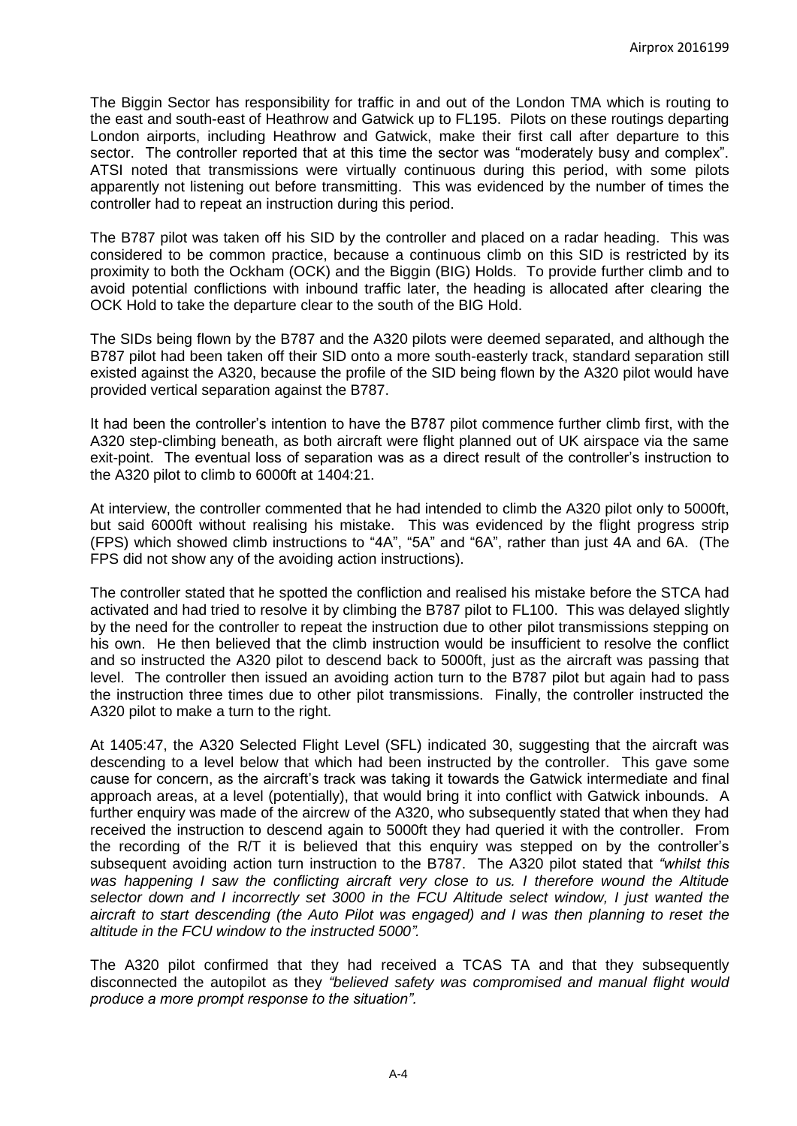The Biggin Sector has responsibility for traffic in and out of the London TMA which is routing to the east and south-east of Heathrow and Gatwick up to FL195. Pilots on these routings departing London airports, including Heathrow and Gatwick, make their first call after departure to this sector. The controller reported that at this time the sector was "moderately busy and complex". ATSI noted that transmissions were virtually continuous during this period, with some pilots apparently not listening out before transmitting. This was evidenced by the number of times the controller had to repeat an instruction during this period.

The B787 pilot was taken off his SID by the controller and placed on a radar heading. This was considered to be common practice, because a continuous climb on this SID is restricted by its proximity to both the Ockham (OCK) and the Biggin (BIG) Holds. To provide further climb and to avoid potential conflictions with inbound traffic later, the heading is allocated after clearing the OCK Hold to take the departure clear to the south of the BIG Hold.

The SIDs being flown by the B787 and the A320 pilots were deemed separated, and although the B787 pilot had been taken off their SID onto a more south-easterly track, standard separation still existed against the A320, because the profile of the SID being flown by the A320 pilot would have provided vertical separation against the B787.

It had been the controller's intention to have the B787 pilot commence further climb first, with the A320 step-climbing beneath, as both aircraft were flight planned out of UK airspace via the same exit-point. The eventual loss of separation was as a direct result of the controller's instruction to the A320 pilot to climb to 6000ft at 1404:21.

At interview, the controller commented that he had intended to climb the A320 pilot only to 5000ft, but said 6000ft without realising his mistake. This was evidenced by the flight progress strip (FPS) which showed climb instructions to "4A", "5A" and "6A", rather than just 4A and 6A. (The FPS did not show any of the avoiding action instructions).

The controller stated that he spotted the confliction and realised his mistake before the STCA had activated and had tried to resolve it by climbing the B787 pilot to FL100. This was delayed slightly by the need for the controller to repeat the instruction due to other pilot transmissions stepping on his own. He then believed that the climb instruction would be insufficient to resolve the conflict and so instructed the A320 pilot to descend back to 5000ft, just as the aircraft was passing that level. The controller then issued an avoiding action turn to the B787 pilot but again had to pass the instruction three times due to other pilot transmissions. Finally, the controller instructed the A320 pilot to make a turn to the right.

At 1405:47, the A320 Selected Flight Level (SFL) indicated 30, suggesting that the aircraft was descending to a level below that which had been instructed by the controller. This gave some cause for concern, as the aircraft's track was taking it towards the Gatwick intermediate and final approach areas, at a level (potentially), that would bring it into conflict with Gatwick inbounds. A further enquiry was made of the aircrew of the A320, who subsequently stated that when they had received the instruction to descend again to 5000ft they had queried it with the controller. From the recording of the R/T it is believed that this enquiry was stepped on by the controller's subsequent avoiding action turn instruction to the B787. The A320 pilot stated that *"whilst this was happening I saw the conflicting aircraft very close to us. I therefore wound the Altitude selector down and I incorrectly set 3000 in the FCU Altitude select window, I just wanted the aircraft to start descending (the Auto Pilot was engaged) and I was then planning to reset the altitude in the FCU window to the instructed 5000".*

The A320 pilot confirmed that they had received a TCAS TA and that they subsequently disconnected the autopilot as they *"believed safety was compromised and manual flight would produce a more prompt response to the situation".*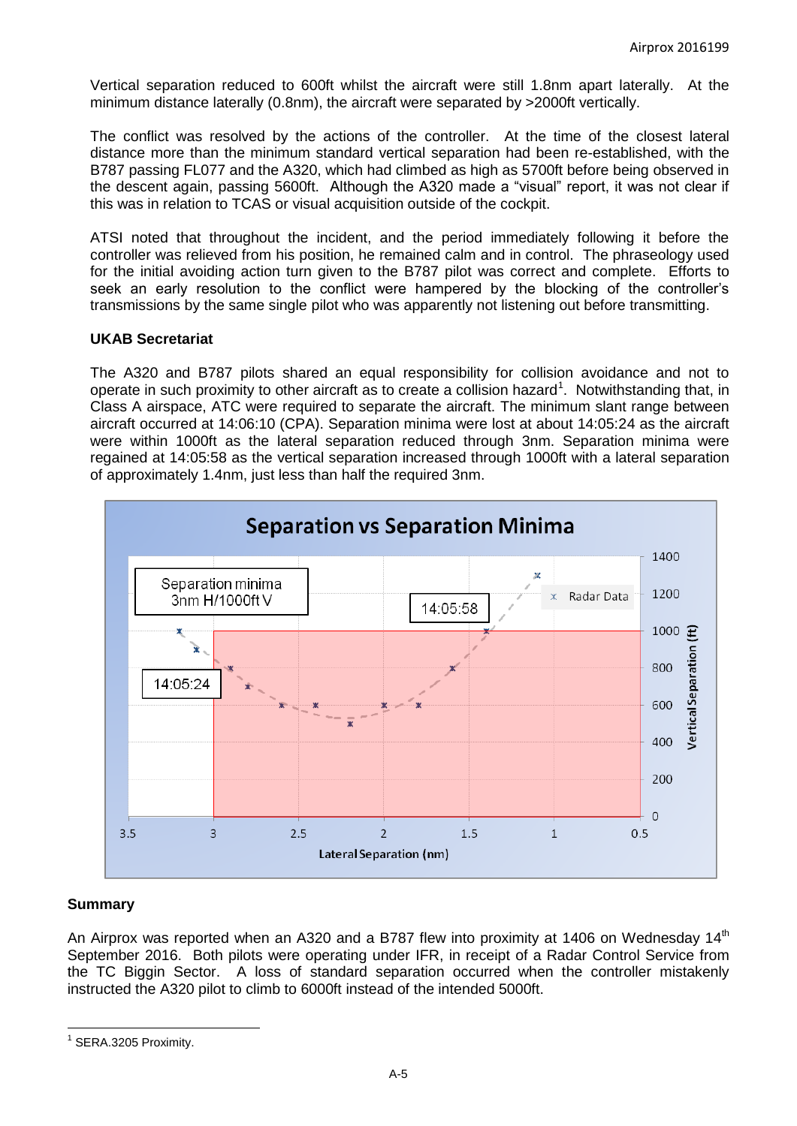Vertical separation reduced to 600ft whilst the aircraft were still 1.8nm apart laterally. At the minimum distance laterally (0.8nm), the aircraft were separated by >2000ft vertically.

The conflict was resolved by the actions of the controller. At the time of the closest lateral distance more than the minimum standard vertical separation had been re-established, with the B787 passing FL077 and the A320, which had climbed as high as 5700ft before being observed in the descent again, passing 5600ft. Although the A320 made a "visual" report, it was not clear if this was in relation to TCAS or visual acquisition outside of the cockpit.

ATSI noted that throughout the incident, and the period immediately following it before the controller was relieved from his position, he remained calm and in control. The phraseology used for the initial avoiding action turn given to the B787 pilot was correct and complete. Efforts to seek an early resolution to the conflict were hampered by the blocking of the controller's transmissions by the same single pilot who was apparently not listening out before transmitting.

#### **UKAB Secretariat**

The A320 and B787 pilots shared an equal responsibility for collision avoidance and not to operate in such proximity to other aircraft as to create a collision hazard<sup>1</sup>. Notwithstanding that, in Class A airspace, ATC were required to separate the aircraft. The minimum slant range between aircraft occurred at 14:06:10 (CPA). Separation minima were lost at about 14:05:24 as the aircraft were within 1000ft as the lateral separation reduced through 3nm. Separation minima were regained at 14:05:58 as the vertical separation increased through 1000ft with a lateral separation of approximately 1.4nm, just less than half the required 3nm.



#### **Summary**

An Airprox was reported when an A320 and a B787 flew into proximity at 1406 on Wednesday 14<sup>th</sup> September 2016. Both pilots were operating under IFR, in receipt of a Radar Control Service from the TC Biggin Sector. A loss of standard separation occurred when the controller mistakenly instructed the A320 pilot to climb to 6000ft instead of the intended 5000ft.

 $\overline{a}$ <sup>1</sup> SERA.3205 Proximity.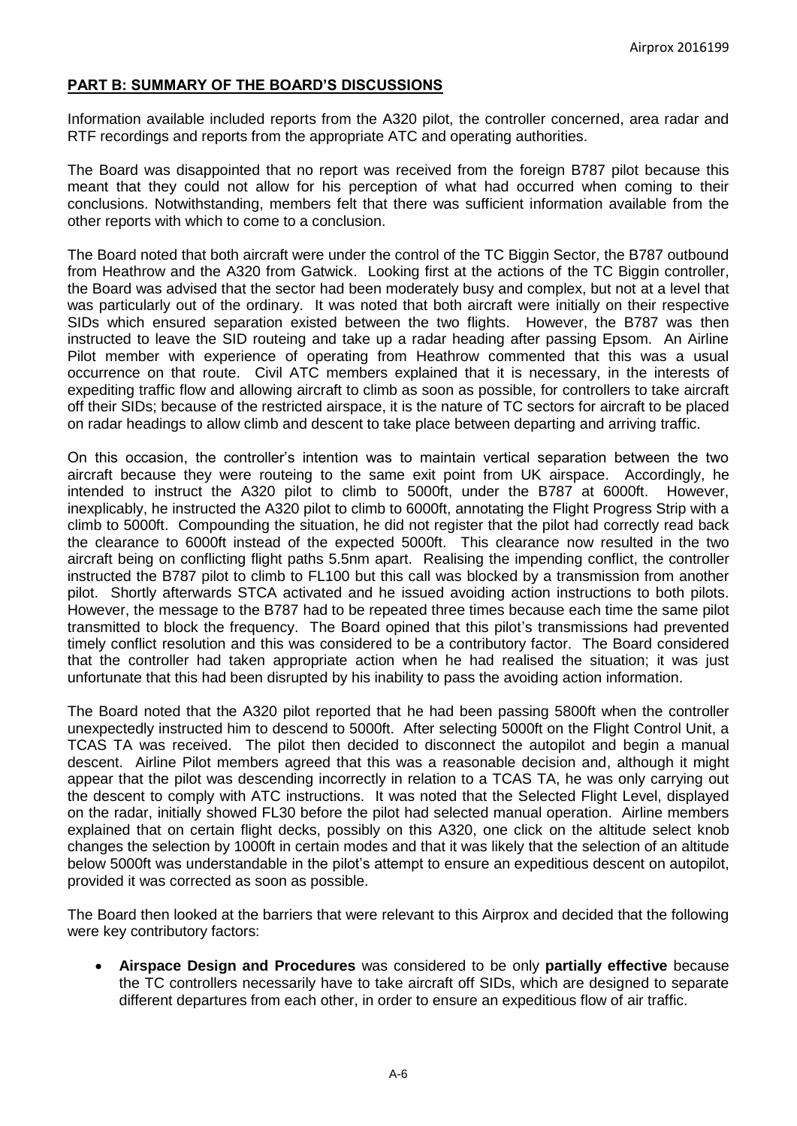#### **PART B: SUMMARY OF THE BOARD'S DISCUSSIONS**

Information available included reports from the A320 pilot, the controller concerned, area radar and RTF recordings and reports from the appropriate ATC and operating authorities.

The Board was disappointed that no report was received from the foreign B787 pilot because this meant that they could not allow for his perception of what had occurred when coming to their conclusions. Notwithstanding, members felt that there was sufficient information available from the other reports with which to come to a conclusion.

The Board noted that both aircraft were under the control of the TC Biggin Sector, the B787 outbound from Heathrow and the A320 from Gatwick. Looking first at the actions of the TC Biggin controller, the Board was advised that the sector had been moderately busy and complex, but not at a level that was particularly out of the ordinary. It was noted that both aircraft were initially on their respective SIDs which ensured separation existed between the two flights. However, the B787 was then instructed to leave the SID routeing and take up a radar heading after passing Epsom. An Airline Pilot member with experience of operating from Heathrow commented that this was a usual occurrence on that route. Civil ATC members explained that it is necessary, in the interests of expediting traffic flow and allowing aircraft to climb as soon as possible, for controllers to take aircraft off their SIDs; because of the restricted airspace, it is the nature of TC sectors for aircraft to be placed on radar headings to allow climb and descent to take place between departing and arriving traffic.

On this occasion, the controller's intention was to maintain vertical separation between the two aircraft because they were routeing to the same exit point from UK airspace. Accordingly, he intended to instruct the A320 pilot to climb to 5000ft, under the B787 at 6000ft. However, inexplicably, he instructed the A320 pilot to climb to 6000ft, annotating the Flight Progress Strip with a climb to 5000ft. Compounding the situation, he did not register that the pilot had correctly read back the clearance to 6000ft instead of the expected 5000ft. This clearance now resulted in the two aircraft being on conflicting flight paths 5.5nm apart. Realising the impending conflict, the controller instructed the B787 pilot to climb to FL100 but this call was blocked by a transmission from another pilot. Shortly afterwards STCA activated and he issued avoiding action instructions to both pilots. However, the message to the B787 had to be repeated three times because each time the same pilot transmitted to block the frequency. The Board opined that this pilot's transmissions had prevented timely conflict resolution and this was considered to be a contributory factor. The Board considered that the controller had taken appropriate action when he had realised the situation; it was just unfortunate that this had been disrupted by his inability to pass the avoiding action information.

The Board noted that the A320 pilot reported that he had been passing 5800ft when the controller unexpectedly instructed him to descend to 5000ft. After selecting 5000ft on the Flight Control Unit, a TCAS TA was received. The pilot then decided to disconnect the autopilot and begin a manual descent. Airline Pilot members agreed that this was a reasonable decision and, although it might appear that the pilot was descending incorrectly in relation to a TCAS TA, he was only carrying out the descent to comply with ATC instructions. It was noted that the Selected Flight Level, displayed on the radar, initially showed FL30 before the pilot had selected manual operation. Airline members explained that on certain flight decks, possibly on this A320, one click on the altitude select knob changes the selection by 1000ft in certain modes and that it was likely that the selection of an altitude below 5000ft was understandable in the pilot's attempt to ensure an expeditious descent on autopilot, provided it was corrected as soon as possible.

The Board then looked at the barriers that were relevant to this Airprox and decided that the following were key contributory factors:

 **Airspace Design and Procedures** was considered to be only **partially effective** because the TC controllers necessarily have to take aircraft off SIDs, which are designed to separate different departures from each other, in order to ensure an expeditious flow of air traffic.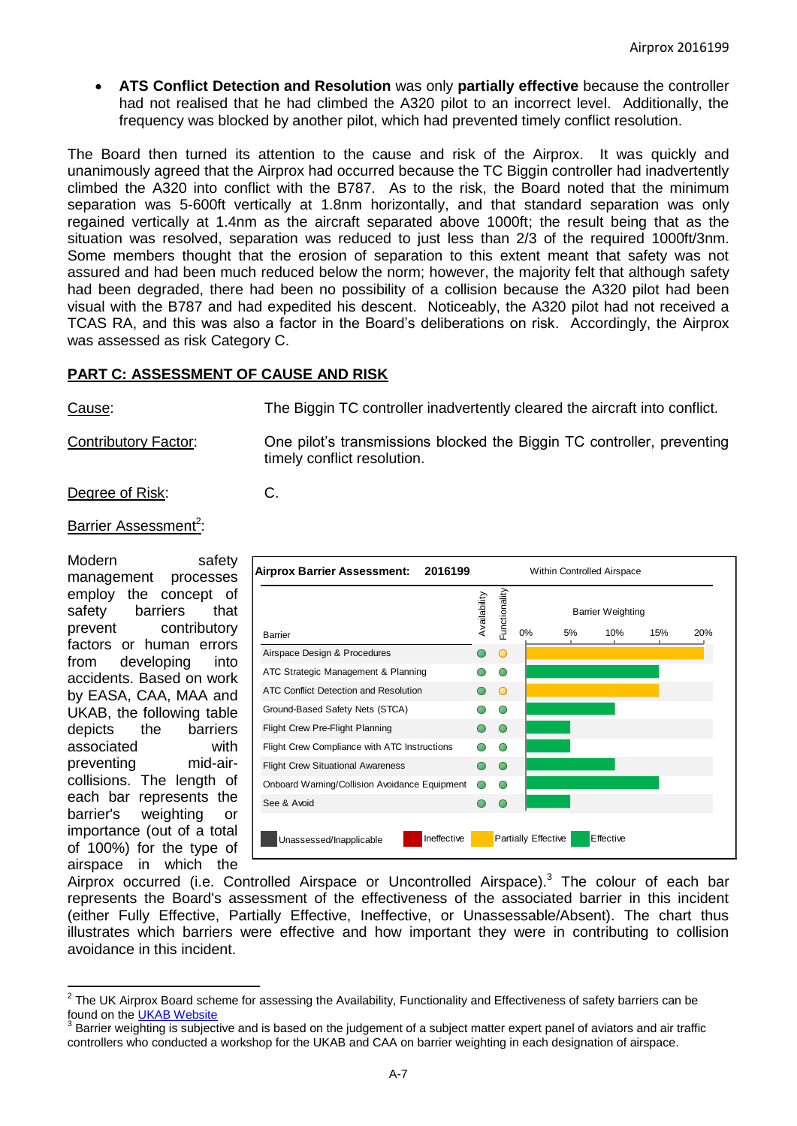**ATS Conflict Detection and Resolution** was only **partially effective** because the controller had not realised that he had climbed the A320 pilot to an incorrect level. Additionally, the frequency was blocked by another pilot, which had prevented timely conflict resolution.

The Board then turned its attention to the cause and risk of the Airprox. It was quickly and unanimously agreed that the Airprox had occurred because the TC Biggin controller had inadvertently climbed the A320 into conflict with the B787. As to the risk, the Board noted that the minimum separation was 5-600ft vertically at 1.8nm horizontally, and that standard separation was only regained vertically at 1.4nm as the aircraft separated above 1000ft; the result being that as the situation was resolved, separation was reduced to just less than 2/3 of the required 1000ft/3nm. Some members thought that the erosion of separation to this extent meant that safety was not assured and had been much reduced below the norm; however, the majority felt that although safety had been degraded, there had been no possibility of a collision because the A320 pilot had been visual with the B787 and had expedited his descent. Noticeably, the A320 pilot had not received a TCAS RA, and this was also a factor in the Board's deliberations on risk. Accordingly, the Airprox was assessed as risk Category C.

# **PART C: ASSESSMENT OF CAUSE AND RISK**

Cause: The Biggin TC controller inadvertently cleared the aircraft into conflict.

Contributory Factor: One pilot's transmissions blocked the Biggin TC controller, preventing timely conflict resolution.

Degree of Risk: C.

Barrier Assessment<sup>2</sup>:

Modern safety management processes employ the concept of safety barriers that prevent contributory factors or human errors from developing into accidents. Based on work by EASA, CAA, MAA and UKAB, the following table depicts the barriers associated with preventing mid-aircollisions. The length of each bar represents the barrier's weighting or importance (out of a total of 100%) for the type of airspace in which the

| Airprox Barrier Assessment:<br>2016199        |              |               | Within Controlled Airspace |  |           |     |     |
|-----------------------------------------------|--------------|---------------|----------------------------|--|-----------|-----|-----|
|                                               | Availability | Functionality | <b>Barrier Weighting</b>   |  |           |     |     |
| Barrier                                       |              |               | 0%<br>5%                   |  | 10%       | 15% | 20% |
| Airspace Design & Procedures                  |              | Ο             |                            |  |           |     |     |
| ATC Strategic Management & Planning           |              |               |                            |  |           |     |     |
| ATC Conflict Detection and Resolution         |              |               |                            |  |           |     |     |
| Ground-Based Safety Nets (STCA)               |              |               |                            |  |           |     |     |
| Flight Crew Pre-Flight Planning               |              |               |                            |  |           |     |     |
| Flight Crew Compliance with ATC Instructions  |              |               |                            |  |           |     |     |
| <b>Flight Crew Situational Awareness</b>      |              |               |                            |  |           |     |     |
| Onboard Warning/Collision Avoidance Equipment |              |               |                            |  |           |     |     |
| See & Avoid                                   |              |               |                            |  |           |     |     |
| Ineffective<br>Unassessed/Inapplicable        |              |               | <b>Partially Effective</b> |  | Effective |     |     |

Airprox occurred (i.e. Controlled Airspace or Uncontrolled Airspace).<sup>3</sup> The colour of each bar represents the Board's assessment of the effectiveness of the associated barrier in this incident (either Fully Effective, Partially Effective, Ineffective, or Unassessable/Absent). The chart thus illustrates which barriers were effective and how important they were in contributing to collision avoidance in this incident.

 2 The UK Airprox Board scheme for assessing the Availability, Functionality and Effectiveness of safety barriers can be found on the [UKAB Website](http://www.airproxboard.org.uk/Learn-more/Airprox-Barrier-Assessment/)

<sup>3</sup> Barrier weighting is subjective and is based on the judgement of a subject matter expert panel of aviators and air traffic controllers who conducted a workshop for the UKAB and CAA on barrier weighting in each designation of airspace.